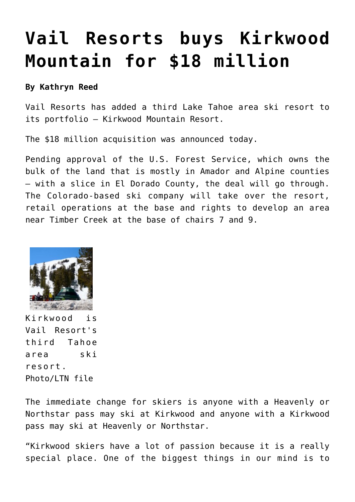## **[Vail Resorts buys Kirkwood](https://www.laketahoenews.net/2012/02/vail-resorts-buys-kirkwood-mountain-for-18-mil/) [Mountain for \\$18 million](https://www.laketahoenews.net/2012/02/vail-resorts-buys-kirkwood-mountain-for-18-mil/)**

## **By Kathryn Reed**

Vail Resorts has added a third Lake Tahoe area ski resort to its portfolio – Kirkwood Mountain Resort.

The \$18 million acquisition was announced today.

Pending approval of the U.S. Forest Service, which owns the bulk of the land that is mostly in Amador and Alpine counties – with a slice in El Dorado County, the deal will go through. The Colorado-based ski company will take over the resort, retail operations at the base and rights to develop an area near Timber Creek at the base of chairs 7 and 9.



Kirkwood is Vail Resort's third Tahoe area ski resort. Photo/LTN file

The immediate change for skiers is anyone with a Heavenly or Northstar pass may ski at Kirkwood and anyone with a Kirkwood pass may ski at Heavenly or Northstar.

"Kirkwood skiers have a lot of passion because it is a really special place. One of the biggest things in our mind is to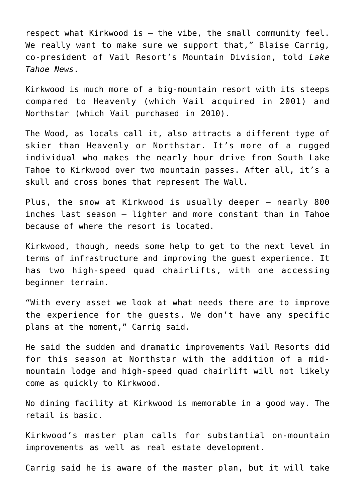respect what Kirkwood is – the vibe, the small community feel. We really want to make sure we support that," Blaise Carrig, co-president of Vail Resort's Mountain Division, told *Lake Tahoe News*.

Kirkwood is much more of a big-mountain resort with its steeps compared to Heavenly (which Vail acquired in 2001) and Northstar (which Vail purchased in 2010).

The Wood, as locals call it, also attracts a different type of skier than Heavenly or Northstar. It's more of a rugged individual who makes the nearly hour drive from South Lake Tahoe to Kirkwood over two mountain passes. After all, it's a skull and cross bones that represent The Wall.

Plus, the snow at Kirkwood is usually deeper – nearly 800 inches last season – lighter and more constant than in Tahoe because of where the resort is located.

Kirkwood, though, needs some help to get to the next level in terms of infrastructure and improving the guest experience. It has two high-speed quad chairlifts, with one accessing beginner terrain.

"With every asset we look at what needs there are to improve the experience for the guests. We don't have any specific plans at the moment," Carrig said.

He said the sudden and dramatic improvements Vail Resorts did for this season at Northstar with the addition of a midmountain lodge and high-speed quad chairlift will not likely come as quickly to Kirkwood.

No dining facility at Kirkwood is memorable in a good way. The retail is basic.

Kirkwood's master plan calls for substantial on-mountain improvements as well as real estate development.

Carrig said he is aware of the master plan, but it will take